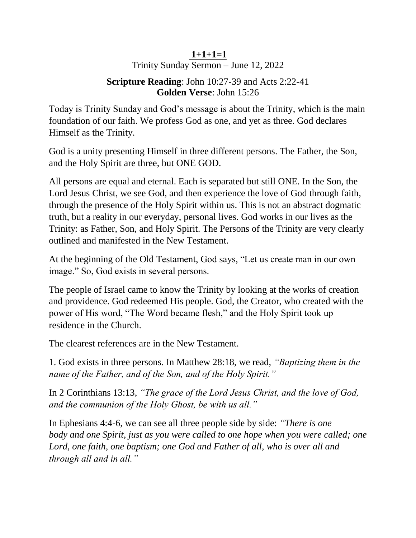## **1+1+1=1**

Trinity Sunday Sermon – June 12, 2022

## **Scripture Reading**: John 10:27-39 and Acts 2:22-41 **Golden Verse**: John 15:26

Today is Trinity Sunday and God's message is about the Trinity, which is the main foundation of our faith. We profess God as one, and yet as three. God declares Himself as the Trinity.

God is a unity presenting Himself in three different persons. The Father, the Son, and the Holy Spirit are three, but ONE GOD.

All persons are equal and eternal. Each is separated but still ONE. In the Son, the Lord Jesus Christ, we see God, and then experience the love of God through faith, through the presence of the Holy Spirit within us. This is not an abstract dogmatic truth, but a reality in our everyday, personal lives. God works in our lives as the Trinity: as Father, Son, and Holy Spirit. The Persons of the Trinity are very clearly outlined and manifested in the New Testament.

At the beginning of the Old Testament, God says, "Let us create man in our own image." So, God exists in several persons.

The people of Israel came to know the Trinity by looking at the works of creation and providence. God redeemed His people. God, the Creator, who created with the power of His word, "The Word became flesh," and the Holy Spirit took up residence in the Church.

The clearest references are in the New Testament.

1. God exists in three persons. In Matthew 28:18, we read, *"Baptizing them in the name of the Father, and of the Son, and of the Holy Spirit."* 

In 2 Corinthians 13:13, *"The grace of the Lord Jesus Christ, and the love of God, and the communion of the Holy Ghost, be with us all."* 

In Ephesians 4:4-6, we can see all three people side by side: *"There is one body and one Spirit, just as you were called to one hope when you were called; one Lord, one faith, one baptism; one God and Father of all, who is over all and through all and in all."*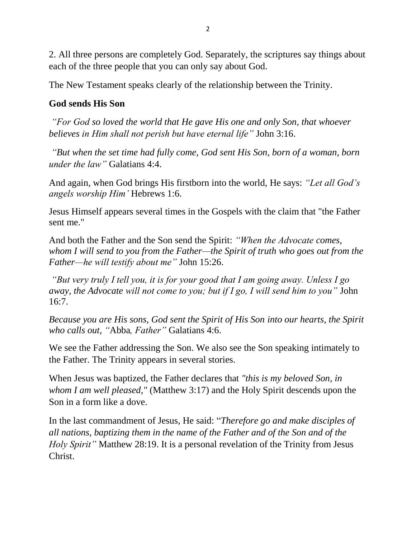2. All three persons are completely God. Separately, the scriptures say things about each of the three people that you can only say about God.

The New Testament speaks clearly of the relationship between the Trinity.

## **God sends His Son**

*"For God so loved the world that He gave His one and only Son, that whoever believes in Him shall not perish but have eternal life"* John 3:16.

*"But when the set time had fully come, God sent His Son, born of a woman, born under the law"* Galatians 4:4.

And again, when God brings His firstborn into the world, He says: *"Let all God's angels worship Him'* Hebrews 1:6.

Jesus Himself appears several times in the Gospels with the claim that "the Father sent me."

And both the Father and the Son send the Spirit: *"When the Advocate comes, whom I will send to you from the Father—the Spirit of truth who goes out from the Father—he will testify about me"* John 15:26.

*"But very truly I tell you, it is for your good that I am going away. Unless I go away, the Advocate will not come to you; but if I go, I will send him to you"* John 16:7.

*Because you are His sons, God sent the Spirit of His Son into our hearts, the Spirit who calls out, "*Abba*, Father"* Galatians 4:6.

We see the Father addressing the Son. We also see the Son speaking intimately to the Father. The Trinity appears in several stories.

When Jesus was baptized, the Father declares that *"this is my beloved Son, in whom I am well pleased,"* (Matthew 3:17) and the Holy Spirit descends upon the Son in a form like a dove.

In the last commandment of Jesus, He said: "*Therefore go and make disciples of all nations, baptizing them in the name of the Father and of the Son and of the Holy Spirit"* Matthew 28:19. It is a personal revelation of the Trinity from Jesus Christ.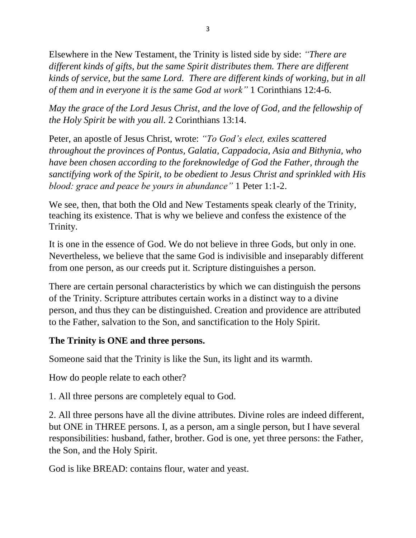Elsewhere in the New Testament, the Trinity is listed side by side: *"There are different kinds of gifts, but the same Spirit distributes them. There are different kinds of service, but the same Lord. There are different kinds of working, but in all of them and in everyone it is the same God at work"* 1 Corinthians 12:4-6.

*May the grace of the Lord Jesus Christ, and the love of God, and the fellowship of the Holy Spirit be with you all.* 2 Corinthians 13:14.

Peter, an apostle of Jesus Christ, wrote: *"To God's elect, exiles scattered throughout the provinces of Pontus, Galatia, Cappadocia, Asia and Bithynia, who have been chosen according to the foreknowledge of God the Father, through the sanctifying work of the Spirit, to be obedient to Jesus Christ and sprinkled with His blood: grace and peace be yours in abundance"* 1 Peter 1:1-2.

We see, then, that both the Old and New Testaments speak clearly of the Trinity, teaching its existence. That is why we believe and confess the existence of the Trinity.

It is one in the essence of God. We do not believe in three Gods, but only in one. Nevertheless, we believe that the same God is indivisible and inseparably different from one person, as our creeds put it. Scripture distinguishes a person.

There are certain personal characteristics by which we can distinguish the persons of the Trinity. Scripture attributes certain works in a distinct way to a divine person, and thus they can be distinguished. Creation and providence are attributed to the Father, salvation to the Son, and sanctification to the Holy Spirit.

## **The Trinity is ONE and three persons.**

Someone said that the Trinity is like the Sun, its light and its warmth.

How do people relate to each other?

1. All three persons are completely equal to God.

2. All three persons have all the divine attributes. Divine roles are indeed different, but ONE in THREE persons. I, as a person, am a single person, but I have several responsibilities: husband, father, brother. God is one, yet three persons: the Father, the Son, and the Holy Spirit.

God is like BREAD: contains flour, water and yeast.